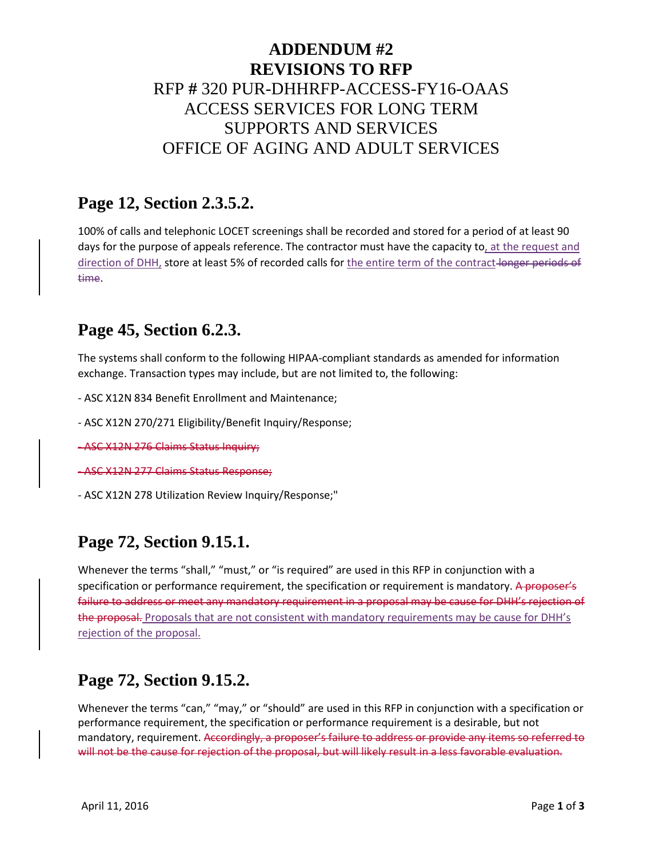# **ADDENDUM #2 REVISIONS TO RFP** RFP **#** 320 PUR-DHHRFP-ACCESS-FY16-OAAS ACCESS SERVICES FOR LONG TERM SUPPORTS AND SERVICES OFFICE OF AGING AND ADULT SERVICES

#### **Page 12, Section 2.3.5.2.**

100% of calls and telephonic LOCET screenings shall be recorded and stored for a period of at least 90 days for the purpose of appeals reference. The contractor must have the capacity to, at the request and direction of DHH, store at least 5% of recorded calls for the entire term of the contract-longer periods of time.

#### **Page 45, Section 6.2.3.**

The systems shall conform to the following HIPAA-compliant standards as amended for information exchange. Transaction types may include, but are not limited to, the following:

- ASC X12N 834 Benefit Enrollment and Maintenance;
- ASC X12N 270/271 Eligibility/Benefit Inquiry/Response;
- ASC X12N 276 Claims Status Inquiry;
- ASC X12N 277 Claims Status Response;
- ASC X12N 278 Utilization Review Inquiry/Response;"

#### **Page 72, Section 9.15.1.**

Whenever the terms "shall," "must," or "is required" are used in this RFP in conjunction with a specification or performance requirement, the specification or requirement is mandatory. A proposer's failure to address or meet any mandatory requirement in a proposal may be cause for DHH's rejection of the proposal. Proposals that are not consistent with mandatory requirements may be cause for DHH's rejection of the proposal.

## **Page 72, Section 9.15.2.**

Whenever the terms "can," "may," or "should" are used in this RFP in conjunction with a specification or performance requirement, the specification or performance requirement is a desirable, but not mandatory, requirement. Accordingly, a proposer's failure to address or provide any items so referred to will not be the cause for rejection of the proposal, but will likely result in a less favorable evaluation.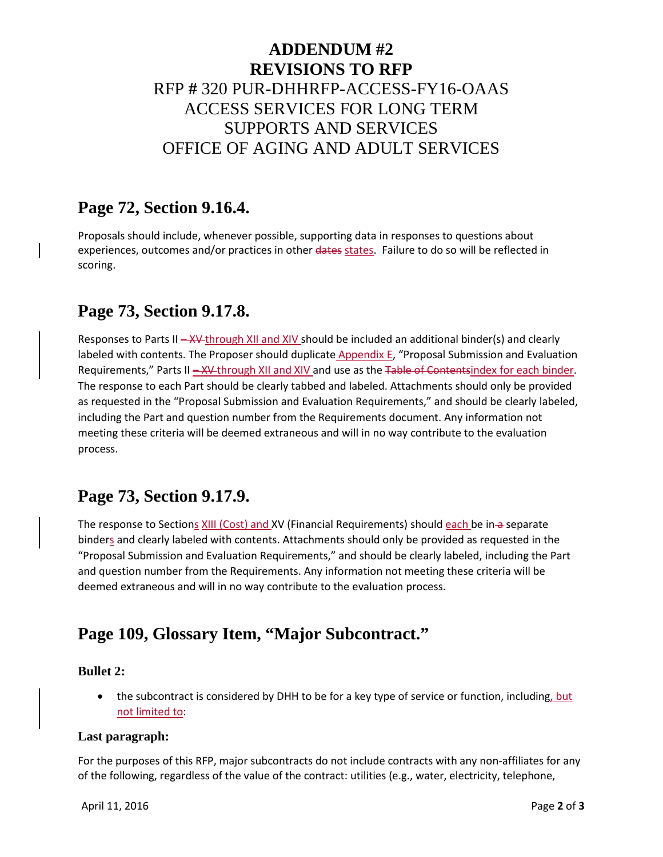# **ADDENDUM #2 REVISIONS TO RFP** RFP **#** 320 PUR-DHHRFP-ACCESS-FY16-OAAS ACCESS SERVICES FOR LONG TERM SUPPORTS AND SERVICES OFFICE OF AGING AND ADULT SERVICES

#### **Page 72, Section 9.16.4.**

Proposals should include, whenever possible, supporting data in responses to questions about experiences, outcomes and/or practices in other dates states. Failure to do so will be reflected in scoring.

## **Page 73, Section 9.17.8.**

Responses to Parts II – XV-through XII and XIV should be included an additional binder(s) and clearly labeled with contents. The Proposer should duplicate Appendix E, "Proposal Submission and Evaluation Requirements," Parts II - XV through XII and XIV and use as the Table of Contentsindex for each binder. The response to each Part should be clearly tabbed and labeled. Attachments should only be provided as requested in the "Proposal Submission and Evaluation Requirements," and should be clearly labeled, including the Part and question number from the Requirements document. Any information not meeting these criteria will be deemed extraneous and will in no way contribute to the evaluation process.

## **Page 73, Section 9.17.9.**

The response to Sections XIII (Cost) and XV (Financial Requirements) should each be in a separate binders and clearly labeled with contents. Attachments should only be provided as requested in the "Proposal Submission and Evaluation Requirements," and should be clearly labeled, including the Part and question number from the Requirements. Any information not meeting these criteria will be deemed extraneous and will in no way contribute to the evaluation process.

## **Page 109, Glossary Item, "Major Subcontract."**

#### **Bullet 2:**

the subcontract is considered by DHH to be for a key type of service or function, including, but not limited to:

#### **Last paragraph:**

For the purposes of this RFP, major subcontracts do not include contracts with any non-affiliates for any of the following, regardless of the value of the contract: utilities (e.g., water, electricity, telephone,